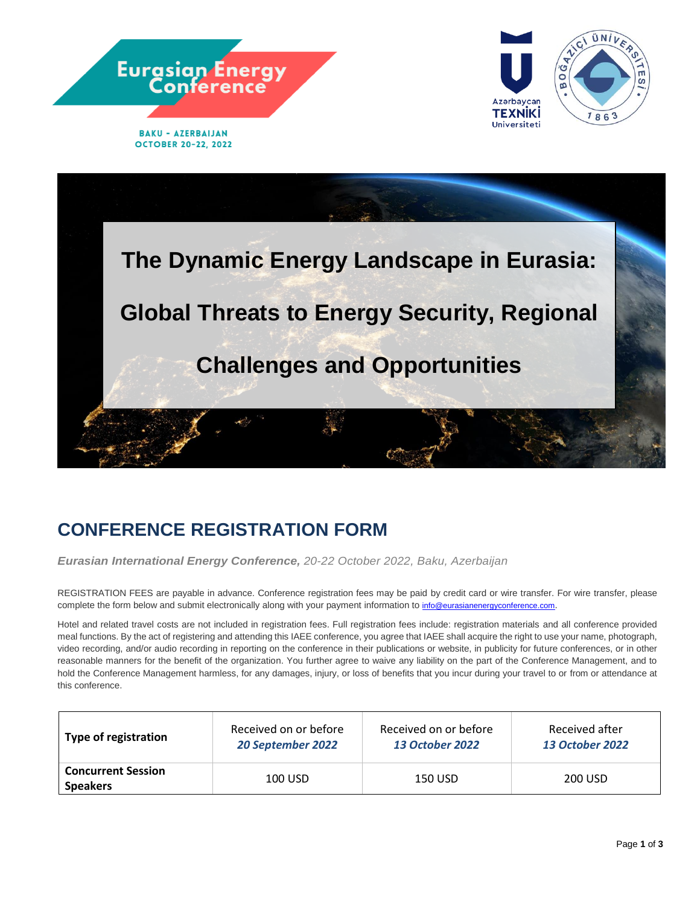





# **CONFERENCE REGISTRATION FORM**

*Eurasian International Energy Conference, 20-22 October 2022, Baku, Azerbaijan*

REGISTRATION FEES are payable in advance. Conference registration fees may be paid by credit card or wire transfer. For wire transfer, please complete the form below and submit electronically along with your payment information to info@eurasianenergyconference.com.

Hotel and related travel costs are not included in registration fees. Full registration fees include: registration materials and all conference provided meal functions. By the act of registering and attending this IAEE conference, you agree that IAEE shall acquire the right to use your name, photograph, video recording, and/or audio recording in reporting on the conference in their publications or website, in publicity for future conferences, or in other reasonable manners for the benefit of the organization. You further agree to waive any liability on the part of the Conference Management, and to hold the Conference Management harmless, for any damages, injury, or loss of benefits that you incur during your travel to or from or attendance at this conference.

| <b>Type of registration</b>                  | Received on or before | Received on or before  | Received after         |
|----------------------------------------------|-----------------------|------------------------|------------------------|
|                                              | 20 September 2022     | <b>13 October 2022</b> | <b>13 October 2022</b> |
| <b>Concurrent Session</b><br><b>Speakers</b> | 100 USD               | 150 USD                | 200 USD                |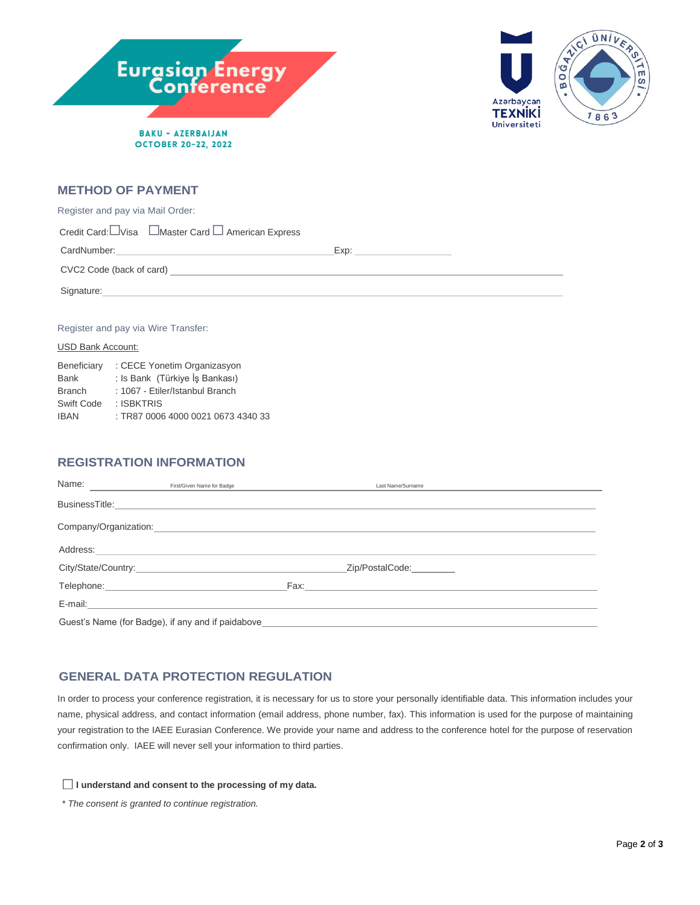



#### **METHOD OF PAYMENT**

| Register and pay via Mail Order:                                                                                                                                                                                                     |  |  |  |  |  |
|--------------------------------------------------------------------------------------------------------------------------------------------------------------------------------------------------------------------------------------|--|--|--|--|--|
| Credit Card: UVisa <sub>Master</sub> Card  □ American Express                                                                                                                                                                        |  |  |  |  |  |
|                                                                                                                                                                                                                                      |  |  |  |  |  |
|                                                                                                                                                                                                                                      |  |  |  |  |  |
| Signature: <u>contract and contract and contract and contract and contract and contract and contract and contract and contract and contract and contract and contract and contract and contract and contract and contract and co</u> |  |  |  |  |  |
|                                                                                                                                                                                                                                      |  |  |  |  |  |
| Register and pay via Wire Transfer:                                                                                                                                                                                                  |  |  |  |  |  |

# USD Bank Account:

| Beneficiary   | : CECE Yonetim Organizasyon        |  |  |
|---------------|------------------------------------|--|--|
| <b>Bank</b>   | : Is Bank (Türkiye İş Bankası)     |  |  |
| <b>Branch</b> | : 1067 - Etiler/Istanbul Branch    |  |  |
| Swift Code    | : ISBKTRIS                         |  |  |
| <b>IBAN</b>   | : TR87 0006 4000 0021 0673 4340 33 |  |  |

## **REGISTRATION INFORMATION**

| Name:                                                                                                                                                                                                                          | First/Given Name for Badge |  | Last Name/Surname |  |
|--------------------------------------------------------------------------------------------------------------------------------------------------------------------------------------------------------------------------------|----------------------------|--|-------------------|--|
|                                                                                                                                                                                                                                |                            |  |                   |  |
|                                                                                                                                                                                                                                |                            |  |                   |  |
|                                                                                                                                                                                                                                |                            |  |                   |  |
|                                                                                                                                                                                                                                |                            |  | Zip/PostalCode:   |  |
| Telephone: Management Control of the Control of the Control of the Control of the Control of the Control of the Control of the Control of the Control of the Control of the Control of the Control of the Control of the Contr |                            |  |                   |  |
|                                                                                                                                                                                                                                |                            |  |                   |  |
| Guest's Name (for Badge), if any and if paidabove_______________________________                                                                                                                                               |                            |  |                   |  |

#### **GENERAL DATA PROTECTION REGULATION**

In order to process your conference registration, it is necessary for us to store your personally identifiable data. This information includes your name, physical address, and contact information (email address, phone number, fax). This information is used for the purpose of maintaining your registration to the IAEE Eurasian Conference. We provide your name and address to the conference hotel for the purpose of reservation confirmation only. IAEE will never sell your information to third parties.

#### **I understand and consent to the processing of my data.**

*\* The consent is granted to continue registration.*